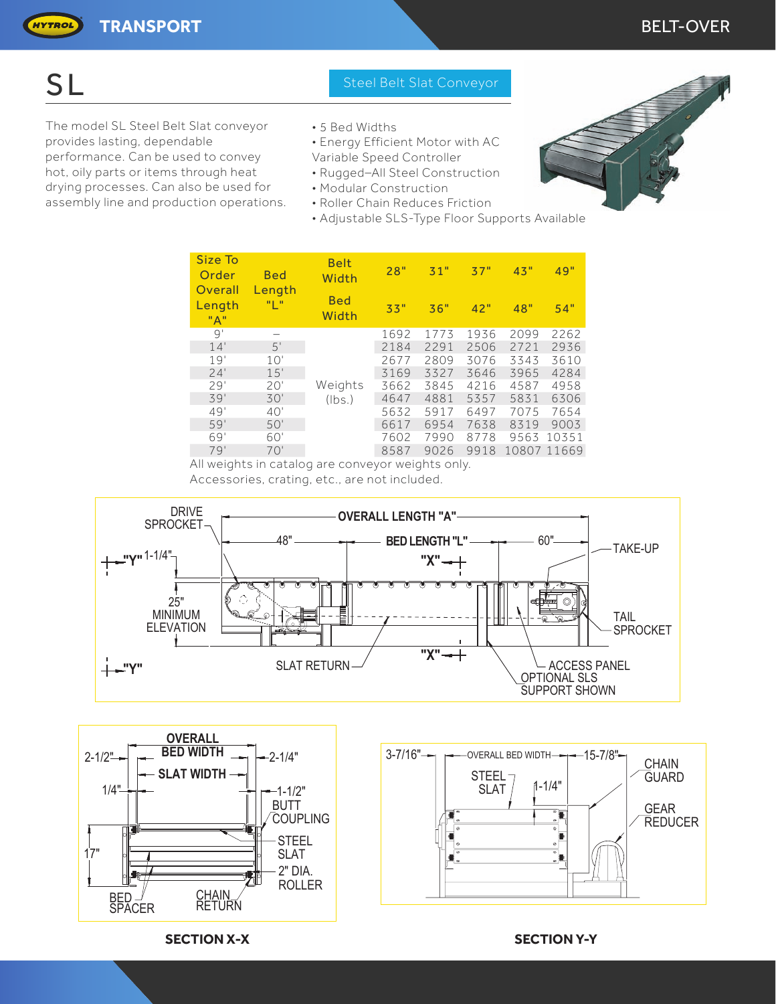HYTROL

The model SL Steel Belt Slat conveyor • 5 Bed Widths provides lasting, dependable • Fnergy Efficient Motor with AC performance. Can be used to convey Variable Speed Controller hot, oily parts or items through heat • Rugged-All Steel Construction drying processes. Can also be used for • Modular Construction assembly line and production operations. • Roller Chain Reduces Friction

### SL Steel Belt Slat Conveyor

- 
- 
- 
- 
- 
- - Adjustable SLS-Type Floor Supports Available

|  | Size To<br>Order<br>Overall | <b>Bed</b><br>Length<br>"I " | <b>Belt</b><br>Width | 28"  | 31"  | 37"  | 43"  | 49"         |
|--|-----------------------------|------------------------------|----------------------|------|------|------|------|-------------|
|  | Length<br>"A"               |                              | <b>Bed</b><br>Width  | 33"  | 36"  | 42"  | 48"  | 54"         |
|  | 9'                          |                              | Weights<br>(lbs.)    | 1692 | 1773 | 1936 | 2099 | 2262        |
|  | 14'                         | 5'                           |                      | 2184 | 2291 | 2506 | 2721 | 2936        |
|  | 19'                         | 10'                          |                      | 2677 | 2809 | 3076 | 3343 | 3610        |
|  | 24'                         | 15'                          |                      | 3169 | 3327 | 3646 | 3965 | 4284        |
|  | 29'                         | 20'                          |                      | 3662 | 3845 | 4216 | 4587 | 4958        |
|  | 39'                         | 30'                          |                      | 4647 | 4881 | 5357 | 5831 | 6306        |
|  | 49'                         | 40'                          |                      | 5632 | 5917 | 6497 | 7075 | 7654        |
|  | 59'                         | 50'                          |                      | 6617 | 6954 | 7638 | 8319 | 9003        |
|  | 69'                         | 60'                          |                      | 7602 | 7990 | 8778 | 9563 | 10351       |
|  | 79'                         | 70'                          |                      | 8587 | 9026 | 9918 |      | 10807 11669 |
|  |                             |                              |                      |      |      |      |      |             |

All weights in catalog are conveyor weights only.

Accessories, crating, etc., are not included.